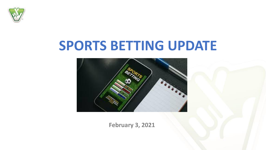

# **SPORTS BETTING UPDATE**



**February 3, 2021**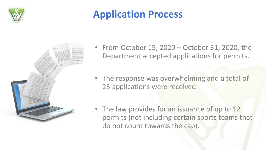

#### **Application Process**



- From October 15, 2020 October 31, 2020, the Department accepted applications for permits.
- The response was overwhelming and a total of 25 applications were received.
- The law provides for an issuance of up to 12 permits (not including certain sports teams that do not count towards the cap).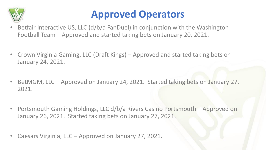

#### **Approved Operators**

- Betfair Interactive US, LLC (d/b/a FanDuel) in conjunction with the Washington Football Team – Approved and started taking bets on January 20, 2021.
- Crown Virginia Gaming, LLC (Draft Kings) Approved and started taking bets on January 24, 2021.
- BetMGM, LLC Approved on January 24, 2021. Started taking bets on January 27, 2021.
- Portsmouth Gaming Holdings, LLC d/b/a Rivers Casino Portsmouth Approved on January 26, 2021. Started taking bets on January 27, 2021.
- Caesars Virginia, LLC Approved on January 27, 2021.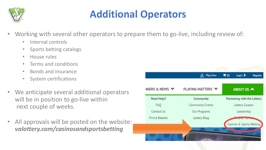

### **Additional Operators**

- Working with several other operators to prepare them to go-live, including review of:
	- Internal controls
	- Sports betting catalogs
	- House rules
	- Terms and conditions
	- Bonds and insurance
	- System certifications
- We anticipate several additional operators will be in position to go-live within next couple of weeks.
- All approvals will be posted on the website: *valottery.com/casinosandsportsbetting*

|                           | <b>Play Now</b>          | $\blacksquare$ (0)<br>Login ><br>Register |
|---------------------------|--------------------------|-------------------------------------------|
| <b>NNERS &amp; NEWS ↓</b> | <b>PLAYING MATTERS ↓</b> | ABOUT US A                                |
| Need Help?                | Community                | Partnering with the Lottery               |
| FAQ                       | <b>Community Events</b>  | <b>Lottery Careers</b>                    |
| Contact Us                | Our Programs             | Leadership                                |
| Find a Retailer           | Lottery Blog             | <b>SERIES CORP.</b>                       |
|                           |                          | Casinos & Sports Betting                  |
|                           |                          |                                           |
|                           |                          |                                           |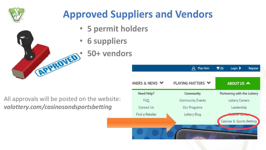

## **Approved Suppliers and Vendors**

- **5 permit holders**
- **6 suppliers**
- **EPROJED** 50+ vendors
	-

All approvals will be posted on the website: *valottery.com/casinosandsportsbetting*

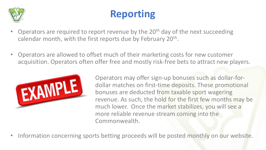

### **Reporting**

- Operators are required to report revenue by the 20<sup>th</sup> day of the next succeeding calendar month, with the first reports due by February 20<sup>th</sup>.
- Operators are allowed to offset much of their marketing costs for new customer acquisition. Operators often offer free and mostly risk-free bets to attract new players.



Operators may offer sign-up bonuses such as dollar-fordollar matches on first-time deposits. These promotional bonuses are deducted from taxable sport wagering revenue. As such, the hold for the first few months may be much lower. Once the market stabilizes, you will see a more reliable revenue stream coming into the Commonwealth.

• Information concerning sports betting proceeds will be posted monthly on our website.